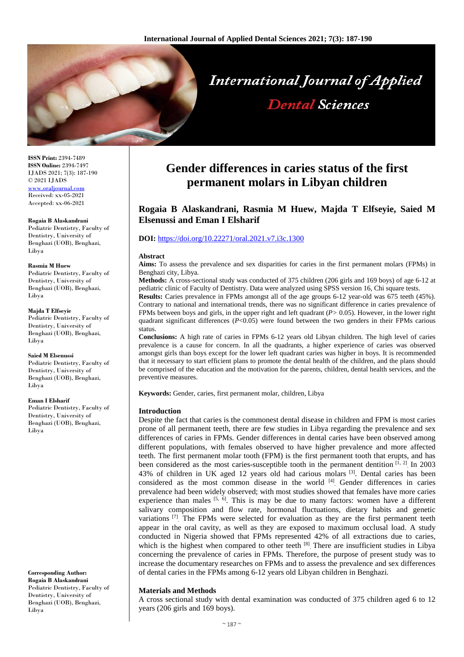

**ISSN Print:** 2394-7489 **ISSN Online:** 2394-7497 IJADS 2021; 7(3): 187-190 © 2021 IJADS [www.oraljournal.com](http://www.oraljournal.com/) Received: xx-05-2021 Accepted: xx-06-2021

**Rogaia B Alaskandrani** Pediatric Dentistry, Faculty of Dentistry, University of Benghazi (UOB), Benghazi, Libya

#### **Rasmia M Huew**

Pediatric Dentistry, Faculty of Dentistry, University of Benghazi (UOB), Benghazi, Libya

#### **Majda T Elfseyie**

Pediatric Dentistry, Faculty of Dentistry, University of Benghazi (UOB), Benghazi, Libya

**Saied M Elsenussi** Pediatric Dentistry, Faculty of Dentistry, University of Benghazi (UOB), Benghazi, Libya

#### **Eman I Elsharif**

Pediatric Dentistry, Faculty of Dentistry, University of Benghazi (UOB), Benghazi, Libya

**Corresponding Author: Rogaia B Alaskandrani** Pediatric Dentistry, Faculty of

Dentistry, University of Benghazi (UOB), Benghazi, Libya

# **Gender differences in caries status of the first permanent molars in Libyan children**

# **Rogaia B Alaskandrani, Rasmia M Huew, Majda T Elfseyie, Saied M Elsenussi and Eman I Elsharif**

# **DOI:** <https://doi.org/10.22271/oral.2021.v7.i3c.1300>

#### **Abstract**

**Aims:** To assess the prevalence and sex disparities for caries in the first permanent molars (FPMs) in Benghazi city, Libya.

**Methods:** A cross-sectional study was conducted of 375 children (206 girls and 169 boys) of age 6-12 at pediatric clinic of Faculty of Dentistry. Data were analyzed using SPSS version 16, Chi square tests.

**Results:** Caries prevalence in FPMs amongst all of the age groups 6-12 year-old was 675 teeth (45%). Contrary to national and international trends, there was no significant difference in caries prevalence of FPMs between boys and girls, in the upper right and left quadrant (*P>* 0.05). However, in the lower right quadrant significant differences  $(P<0.05)$  were found between the two genders in their FPMs carious status.

**Conclusions:** A high rate of caries in FPMs 6-12 years old Libyan children. The high level of caries prevalence is a cause for concern. In all the quadrants, a higher experience of caries was observed amongst girls than boys except for the lower left quadrant caries was higher in boys. It is recommended that it necessary to start efficient plans to promote the dental health of the children, and the plans should be comprised of the education and the motivation for the parents, children, dental health services, and the preventive measures.

**Keywords:** Gender, caries, first permanent molar, children, Libya

#### **Introduction**

Despite the fact that caries is the commonest dental disease in children and FPM is most caries prone of all permanent teeth, there are few studies in Libya regarding the prevalence and sex differences of caries in FPMs. Gender differences in dental caries have been observed among different populations, with females observed to have higher prevalence and more affected teeth. The first permanent molar tooth (FPM) is the first permanent tooth that erupts, and has been considered as the most caries-susceptible tooth in the permanent dentition  $\left[\hat{I}, 2\right]$  In 2003 43% of children in UK aged 12 years old had carious molars [3]. Dental caries has been considered as the most common disease in the world [4]. Gender differences in caries prevalence had been widely observed; with most studies showed that females have more caries experience than males  $\left[5, 6\right]$ . This is may be due to many factors: women have a different salivary composition and flow rate, hormonal fluctuations, dietary habits and genetic variations <sup>[7]</sup>. The FPMs were selected for evaluation as they are the first permanent teeth appear in the oral cavity, as well as they are exposed to maximum occlusal load. A study conducted in Nigeria showed that FPMs represented 42% of all extractions due to caries, which is the highest when compared to other teeth  $[8]$ . There are insufficient studies in Libya concerning the prevalence of caries in FPMs. Therefore, the purpose of present study was to increase the documentary researches on FPMs and to assess the prevalence and sex differences of dental caries in the FPMs among 6-12 years old Libyan children in Benghazi.

# **Materials and Methods**

A cross sectional study with dental examination was conducted of 375 children aged 6 to 12 years (206 girls and 169 boys).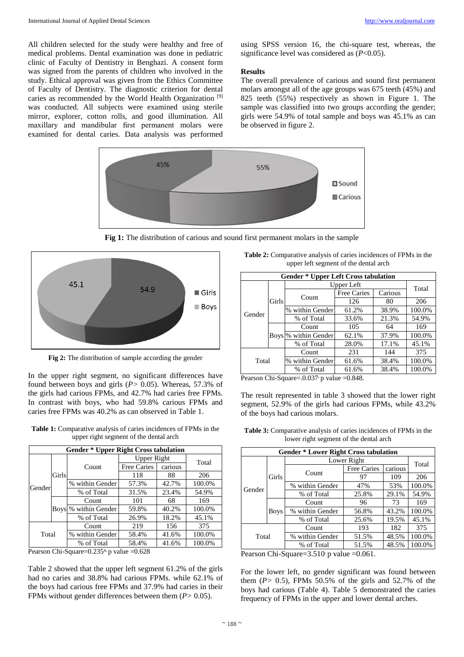All children selected for the study were healthy and free of medical problems. Dental examination was done in pediatric clinic of Faculty of Dentistry in Benghazi. A consent form was signed from the parents of children who involved in the study. Ethical approval was given from the Ethics Committee of Faculty of Dentistry. The diagnostic criterion for dental caries as recommended by the World Health Organization [9] was conducted. All subjects were examined using sterile mirror, explorer, cotton rolls, and good illumination. All maxillary and mandibular first permanent molars were examined for dental caries. Data analysis was performed using SPSS version 16, the chi-square test, whereas, the significance level was considered as (*P*<0.05).

### **Results**

The overall prevalence of carious and sound first permanent molars amongst all of the age groups was 675 teeth (45%) and 825 teeth (55%) respectively as shown in Figure 1. The sample was classified into two groups according the gender; girls were 54.9% of total sample and boys was 45.1% as can be observed in figure 2.



**Fig 1:** The distribution of carious and sound first permanent molars in the sample



**Fig 2:** The distribution of sample according the gender

In the upper right segment, no significant differences have found between boys and girls (*P>* 0.05). Whereas, 57.3% of the girls had carious FPMs, and 42.7% had caries free FPMs. In contrast with boys, who had 59.8% carious FPMs and caries free FPMs was 40.2% as can observed in Table 1.

**Table 1:** Comparative analysis of caries incidences of FPMs in the upper right segment of the dental arch

| <b>Gender * Upper Right Cross tabulation</b> |             |                 |                    |         |        |  |
|----------------------------------------------|-------------|-----------------|--------------------|---------|--------|--|
| Gender                                       | Girls       |                 | <b>Upper Right</b> |         | Total  |  |
|                                              |             | Count           | <b>Free Caries</b> | carious |        |  |
|                                              |             |                 | 118                | 88      | 206    |  |
|                                              |             | % within Gender | 57.3%              | 42.7%   | 100.0% |  |
|                                              |             | % of Total      | 31.5%              | 23.4%   | 54.9%  |  |
|                                              | <b>Boys</b> | Count           | 101                | 68      | 169    |  |
|                                              |             | % within Gender | 59.8%              | 40.2%   | 100.0% |  |
|                                              |             | % of Total      | 26.9%              | 18.2%   | 45.1%  |  |
| Total                                        |             | Count           | 219                | 156     | 375    |  |
|                                              |             | % within Gender | 58.4%              | 41.6%   | 100.0% |  |
|                                              |             | % of Total      | 58.4%              | 41.6%   | 100.0% |  |

Pearson Chi-Square= $0.235^{\text{a}}$ , p value = $0.628$ 

Table 2 showed that the upper left segment 61.2% of the girls had no caries and 38.8% had carious FPMs. while 62.1% of the boys had carious free FPMs and 37.9% had caries in their FPMs without gender differences between them (*P>* 0.05).

**Table 2:** Comparative analysis of caries incidences of FPMs in the upper left segment of the dental arch

| <b>Gender * Upper Left Cross tabulation</b> |             |                       |             |         |        |
|---------------------------------------------|-------------|-----------------------|-------------|---------|--------|
| Gender                                      | Girls       | Upper Left            |             |         | Total  |
|                                             |             | Count                 | Free Caries | Carious |        |
|                                             |             |                       | 126         | 80      | 206    |
|                                             |             | % within Gender       | 61.2%       | 38.9%   | 100.0% |
|                                             |             | % of Total            | 33.6%       | 21.3%   | 54.9%  |
|                                             | <b>Boys</b> | Count                 | 105         | 64      | 169    |
|                                             |             | within Gender<br>$\%$ | 62.1%       | 37.9%   | 100.0% |
|                                             |             | % of Total            | 28.0%       | 17.1%   | 45.1%  |
| Total                                       |             | Count                 | 231         | 144     | 375    |
|                                             |             | % within Gender       | 61.6%       | 38.4%   | 100.0% |
|                                             |             | % of Total            | 61.6%       | 38.4%   | 100.0% |

Pearson Chi-Square=.0.037  $\gamma$  p value =0.848.

The result represented in table 3 showed that the lower right segment, 52.9% of the girls had carious FPMs, while 43.2% of the boys had carious molars.

| <b>Gender * Lower Right Cross tabulation</b> |             |                 |             |         |        |
|----------------------------------------------|-------------|-----------------|-------------|---------|--------|
| Gender                                       | Girls       | Lower Right     |             |         | Total  |
|                                              |             | Count           | Free Caries | carious |        |
|                                              |             |                 | 97          | 109     | 206    |
|                                              |             | % within Gender | 47%         | 53%     | 100.0% |
|                                              |             | % of Total      | 25.8%       | 29.1%   | 54.9%  |
|                                              | <b>Boys</b> | Count           | 96          | 73      | 169    |
|                                              |             | % within Gender | 56.8%       | 43.2%   | 100.0% |
|                                              |             | % of Total      | 25.6%       | 19.5%   | 45.1%  |
| Total                                        |             | Count           | 193         | 182     | 375    |
|                                              |             | % within Gender | 51.5%       | 48.5%   | 100.0% |
|                                              |             | % of Total      | 51.5%       | 48.5%   | 100.0% |

**Table 3:** Comparative analysis of caries incidences of FPMs in the lower right segment of the dental arch

Pearson Chi-Square= $3.510$  p value = $0.061$ .

For the lower left, no gender significant was found between them  $(P> 0.5)$ , FPMs 50.5% of the girls and 52.7% of the boys had carious (Table 4). Table 5 demonstrated the caries frequency of FPMs in the upper and lower dental arches.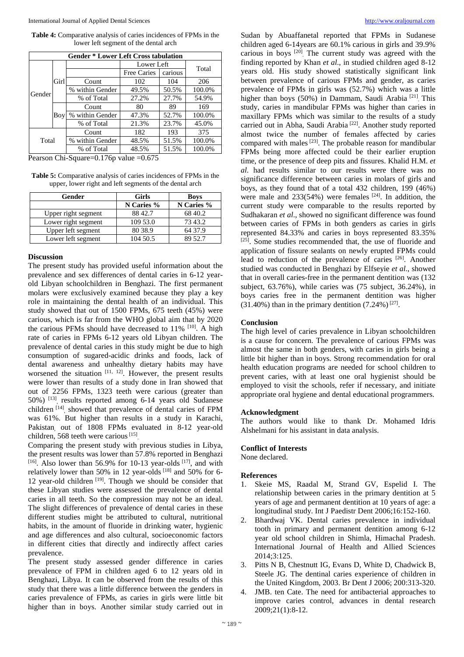**Table 4:** Comparative analysis of caries incidences of FPMs in the lower left segment of the dental arch

| <b>Gender * Lower Left Cross tabulation</b> |      |                 |             |         |        |  |
|---------------------------------------------|------|-----------------|-------------|---------|--------|--|
| Gender                                      | Girl |                 | Lower Left  |         | Total  |  |
|                                             |      |                 | Free Caries | carious |        |  |
|                                             |      | Count           | 102         | 104     | 206    |  |
|                                             |      | % within Gender | 49.5%       | 50.5%   | 100.0% |  |
|                                             |      | % of Total      | 27.2%       | 27.7%   | 54.9%  |  |
|                                             | Boy  | Count           | 80          | 89      | 169    |  |
|                                             |      | % within Gender | 47.3%       | 52.7%   | 100.0% |  |
|                                             |      | % of Total      | 21.3%       | 23.7%   | 45.0%  |  |
| Total                                       |      | Count           | 182         | 193     | 375    |  |
|                                             |      | % within Gender | 48.5%       | 51.5%   | 100.0% |  |
|                                             |      | % of Total      | 48.5%       | 51.5%   | 100.0% |  |

Pearson Chi-Square=0.176p value =0.675

**Table 5:** Comparative analysis of caries incidences of FPMs in the upper, lower right and left segments of the dental arch

| Gender              | Girls      | <b>Boys</b> |  |
|---------------------|------------|-------------|--|
|                     | N Caries % | N Caries %  |  |
| Upper right segment | 88 42.7    | 68 40.2     |  |
| Lower right segment | 109 53.0   | 7343.2      |  |
| Upper left segment  | 80 38.9    | 64 37.9     |  |
| Lower left segment  | 104 50.5   | 89 52.7     |  |

#### **Discussion**

The present study has provided useful information about the prevalence and sex differences of dental caries in 6-12 yearold Libyan schoolchildren in Benghazi. The first permanent molars were exclusively examined because they play a key role in maintaining the dental health of an individual. This study showed that out of 1500 FPMs, 675 teeth (45%) were carious, which is far from the WHO global aim that by 2020 the carious PFMs should have decreased to 11% [10]. A high rate of caries in FPMs 6-12 years old Libyan children. The prevalence of dental caries in this study might be due to high consumption of sugared-acidic drinks and foods, lack of dental awareness and unhealthy dietary habits may have worsened the situation  $[11, 12]$ . However, the present results were lower than results of a study done in Iran showed that out of 2256 FPMs, 1323 teeth were carious (greater than 50%) [13], results reported among 6-14 years old Sudanese children [14], showed that prevalence of dental caries of FPM was 61%. But higher than results in a study in Karachi, Pakistan, out of 1808 FPMs evaluated in 8-12 year-old children, 568 teeth were carious<sup>[15]</sup>.

Comparing the present study with previous studies in Libya, the present results was lower than 57.8% reported in Benghazi  $[16]$ . Also lower than 56.9% for 10-13 year-olds  $[17]$ , and with relatively lower than 50% in 12 year-olds [18] and 50% for 6- 12 year-old children [19]. Though we should be consider that these Libyan studies were assessed the prevalence of dental caries in all teeth. So the compression may not be an ideal. The slight differences of prevalence of dental caries in these different studies might be attributed to cultural, nutritional habits, in the amount of fluoride in drinking water, hygienic and age differences and also cultural, socioeconomic factors in different cities that directly and indirectly affect caries prevalence.

The present study assessed gender difference in caries prevalence of FPM in children aged 6 to 12 years old in Benghazi, Libya. It can be observed from the results of this study that there was a little difference between the genders in caries prevalence of FPMs, as caries in girls were little bit higher than in boys. Another similar study carried out in Sudan by Abuaffanetal reported that FPMs in Sudanese children aged 6-14years are 60.1% carious in girls and 39.9% carious in boys [20]. The current study was agreed with the finding reported by Khan *et al*., in studied children aged 8-12 years old. His study showed statistically significant link between prevalence of carious FPMs and gender, as caries prevalence of FPMs in girls was (52.7%) which was a little higher than boys (50%) in Dammam, Saudi Arabia<sup>[21]</sup> This study, caries in mandibular FPMs was higher than caries in maxillary FPMs which was similar to the results of a study carried out in Abha, Saudi Arabia [22]. Another study reported almost twice the number of females affected by caries compared with males [23]. The probable reason for mandibular FPMs being more affected could be their earlier eruption time, or the presence of deep pits and fissures. Khalid H.M. *et al*. had results similar to our results were there was no significance difference between caries in molars of girls and boys, as they found that of a total 432 children, 199 (46%) were male and  $233(54%)$  were females  $[24]$ . In addition, the current study were comparable to the results reported by Sudhakaran *et al*., showed no significant difference was found between caries of FPMs in both genders as caries in girls represented 84.33% and caries in boys represented 83.35% [25]. Some studies recommended that, the use of fluoride and application of fissure sealants on newly erupted FPMs could lead to reduction of the prevalence of caries [26]. Another studied was conducted in Benghazi by Elfseyie *et al*., showed that in overall caries-free in the permanent dentition was (132 subject, 63.76%), while caries was (75 subject, 36.24%), in boys caries free in the permanent dentition was higher  $(31.40%)$  than in the primary dentition  $(7.24%)$ <sup>[27]</sup>.

# **Conclusion**

The high level of caries prevalence in Libyan schoolchildren is a cause for concern. The prevalence of carious FPMs was almost the same in both genders, with caries in girls being a little bit higher than in boys. Strong recommendation for oral health education programs are needed for school children to prevent caries, with at least one oral hygienist should be employed to visit the schools, refer if necessary, and initiate appropriate oral hygiene and dental educational programmers.

# **Acknowledgment**

The authors would like to thank Dr. Mohamed Idris Alshelmani for his assistant in data analysis.

#### **Conflict of Interests**

None declared.

### **References**

- 1. Skeie MS, Raadal M, Strand GV, Espelid I. The relationship between caries in the primary dentition at 5 years of age and permanent dentition at 10 years of age: a longitudinal study. Int J Paedistr Dent 2006;16:152-160.
- 2. Bhardwaj VK. Dental caries prevalence in individual tooth in primary and permanent dentition among 6-12 year old school children in Shimla, Himachal Pradesh. International Journal of Health and Allied Sciences 2014;3:125.
- 3. Pitts N B, Chestnutt IG, Evans D, White D, Chadwick B, Steele JG. The dentinal caries experience of children in the United Kingdom, 2003. Br Dent J 2006; 200:313-320.
- 4. JMB. ten Cate. The need for antibacterial approaches to improve caries control, advances in dental research 2009;21(1):8-12.